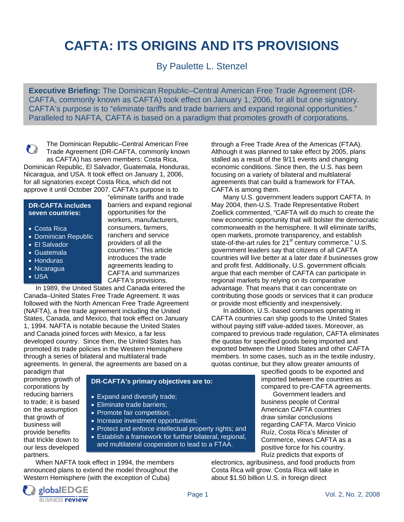# **CAFTA: ITS ORIGINS AND ITS PROVISIONS**

By Paulette L. Stenzel

**Executive Briefing:** The Dominican Republic–Central American Free Trade Agreement (DR-CAFTA, commonly known as CAFTA) took effect on January 1, 2006, for all but one signatory. CAFTA's purpose is to "eliminate tariffs and trade barriers and expand regional opportunities." Paralleled to NAFTA, CAFTA is based on a paradigm that promotes growth of corporations.

The Dominican Republic–Central American Free n Trade Agreement (DR-CAFTA, commonly known as CAFTA) has seven members: Costa Rica, Dominican Republic, El Salvador, Guatemala, Honduras, Nicaragua, and USA. It took effect on January 1, 2006, for all signatories except Costa Rica, which did not approve it until October 2007. CAFTA's purpose is to

#### **DR-CAFTA includes seven countries:**

- Costa Rica
- Dominican Republic
- El Salvador
- Guatemala
- Honduras
- Nicaragua
- USA

"eliminate tariffs and trade barriers and expand regional opportunities for the workers, manufacturers, consumers, farmers, ranchers and service providers of all the countries." This article introduces the trade agreements leading to CAFTA and summarizes CAFTA's provisions.

 In 1989, the United States and Canada entered the Canada–United States Free Trade Agreement. It was followed with the North American Free Trade Agreement (NAFTA), a free trade agreement including the United States, Canada, and Mexico, that took effect on January 1, 1994. NAFTA is notable because the United States and Canada joined forces with Mexico, a far less developed country. Since then, the United States has promoted its trade policies in the Western Hemisphere through a series of bilateral and multilateral trade agreements. In general, the agreements are based on a

paradigm that promotes growth of corporations by reducing barriers to trade; it is based on the assumption that growth of business will provide benefits that trickle down to our less developed partners.

## **DR-CAFTA's primary objectives are to:**

- Expand and diversify trade;
- Eliminate trade barriers;
- Promote fair competition;
- Increase investment opportunities;
- Protect and enforce intellectual property rights; and
- Establish a framework for further bilateral, regional, and multilateral cooperation to lead to a FTAA.

 When NAFTA took effect in 1994, the members announced plans to extend the model throughout the Western Hemisphere (with the exception of Cuba)

through a Free Trade Area of the Americas (FTAA). Although it was planned to take effect by 2005, plans stalled as a result of the 9/11 events and changing economic conditions. Since then, the U.S. has been focusing on a variety of bilateral and multilateral agreements that can build a framework for FTAA. CAFTA is among them.

 Many U.S. government leaders support CAFTA. In May 2004, then-U.S. Trade Representative Robert Zoellick commented, "CAFTA will do much to create the new economic opportunity that will bolster the democratic commonwealth in the hemisphere. It will eliminate tariffs, open markets, promote transparency, and establish state-of-the-art rules for 21<sup>st</sup> century commerce." U.S. government leaders say that citizens of all CAFTA countries will live better at a later date if businesses grow and profit first. Additionally, U.S. government officials argue that each member of CAFTA can participate in regional markets by relying on its comparative advantage. That means that it can concentrate on contributing those goods or services that it can produce or provide most efficiently and inexpensively.

 In addition, U.S.-based companies operating in CAFTA countries can ship goods to the United States without paying stiff value-added taxes. Moreover, as compared to previous trade regulation, CAFTA eliminates the quotas for specified goods being imported and exported between the United States and other CAFTA members. In some cases, such as in the textile industry, quotas continue, but they allow greater amounts of

specified goods to be exported and imported between the countries as compared to pre-CAFTA agreements.

 Government leaders and business people of Central American CAFTA countries draw similar conclusions regarding CAFTA. Marco Vinicio Ruíz, Costa Rica's Minister of Commerce, views CAFTA as a positive force for his country. Ruíz predicts that exports of

electronics, agribusiness, and food products from Costa Rica will grow. Costa Rica will take in about \$1.50 billion U.S. in foreign direct